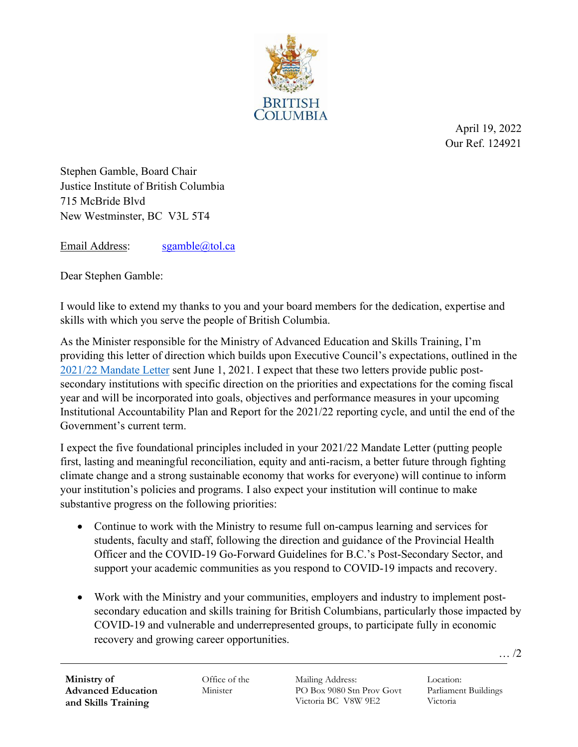

April 19, 2022 Our Ref. 124921

Stephen Gamble, Board Chair Justice Institute of British Columbia 715 McBride Blvd New Westminster, BC V3L 5T4

Email Address: [sgamble@tol.ca](mailto:sgamble@tol.ca)

Dear Stephen Gamble:

I would like to extend my thanks to you and your board members for the dedication, expertise and skills with which you serve the people of British Columbia.

As the Minister responsible for the Ministry of Advanced Education and Skills Training, I'm providing this letter of direction which builds upon Executive Council's expectations, outlined in the [2021/22 Mandate Letter](https://www2.gov.bc.ca/gov/content/education-training/post-secondary-education/institution-resources-administration/mandate-letters#:%7E:text=B.C.%20public%20post%2Dsecondary%20institutions,statutory%20obligations%20and%20Government%20priorities.) sent June 1, 2021. I expect that these two letters provide public postsecondary institutions with specific direction on the priorities and expectations for the coming fiscal year and will be incorporated into goals, objectives and performance measures in your upcoming Institutional Accountability Plan and Report for the 2021/22 reporting cycle, and until the end of the Government's current term.

I expect the five foundational principles included in your 2021/22 Mandate Letter (putting people first, lasting and meaningful reconciliation, equity and anti-racism, a better future through fighting climate change and a strong sustainable economy that works for everyone) will continue to inform your institution's policies and programs. I also expect your institution will continue to make substantive progress on the following priorities:

- Continue to work with the Ministry to resume full on-campus learning and services for students, faculty and staff, following the direction and guidance of the Provincial Health Officer and the COVID-19 Go-Forward Guidelines for B.C.'s Post-Secondary Sector, and support your academic communities as you respond to COVID-19 impacts and recovery.
- Work with the Ministry and your communities, employers and industry to implement postsecondary education and skills training for British Columbians, particularly those impacted by COVID-19 and vulnerable and underrepresented groups, to participate fully in economic recovery and growing career opportunities.

**Ministry of Advanced Education and Skills Training**

Office of the Minister

Mailing Address: PO Box 9080 Stn Prov Govt Victoria BC V8W 9E2

Location: Parliament Buildings Victoria

… /2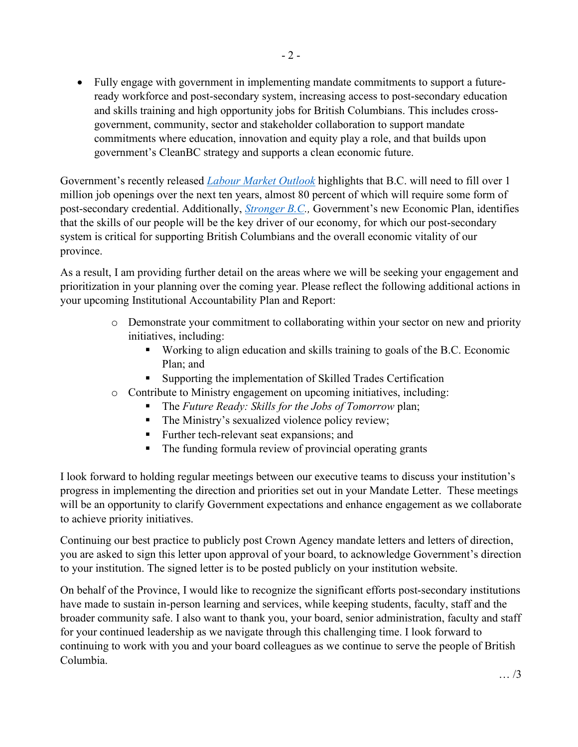• Fully engage with government in implementing mandate commitments to support a futureready workforce and post-secondary system, increasing access to post-secondary education and skills training and high opportunity jobs for British Columbians. This includes crossgovernment, community, sector and stakeholder collaboration to support mandate commitments where education, innovation and equity play a role, and that builds upon government's CleanBC strategy and supports a clean economic future.

Government's recently released *[Labour Market Outlook](https://www.workbc.ca/labour-market-industry/labour-market-outlook.aspx)* highlights that B.C. will need to fill over 1 million job openings over the next ten years, almost 80 percent of which will require some form of post-secondary credential. Additionally, *[Stronger B.C.](https://strongerbc.gov.bc.ca/),* Government's new Economic Plan, identifies that the skills of our people will be the key driver of our economy, for which our post-secondary system is critical for supporting British Columbians and the overall economic vitality of our province.

As a result, I am providing further detail on the areas where we will be seeking your engagement and prioritization in your planning over the coming year. Please reflect the following additional actions in your upcoming Institutional Accountability Plan and Report:

- o Demonstrate your commitment to collaborating within your sector on new and priority initiatives, including:
	- Working to align education and skills training to goals of the B.C. Economic Plan; and
	- Supporting the implementation of Skilled Trades Certification
- o Contribute to Ministry engagement on upcoming initiatives, including:
	- The *Future Ready: Skills for the Jobs of Tomorrow* plan;
	- The Ministry's sexualized violence policy review;
	- **Further tech-relevant seat expansions; and**
	- The funding formula review of provincial operating grants

I look forward to holding regular meetings between our executive teams to discuss your institution's progress in implementing the direction and priorities set out in your Mandate Letter. These meetings will be an opportunity to clarify Government expectations and enhance engagement as we collaborate to achieve priority initiatives.

Continuing our best practice to publicly post Crown Agency mandate letters and letters of direction, you are asked to sign this letter upon approval of your board, to acknowledge Government's direction to your institution. The signed letter is to be posted publicly on your institution website.

On behalf of the Province, I would like to recognize the significant efforts post-secondary institutions have made to sustain in-person learning and services, while keeping students, faculty, staff and the broader community safe. I also want to thank you, your board, senior administration, faculty and staff for your continued leadership as we navigate through this challenging time. I look forward to continuing to work with you and your board colleagues as we continue to serve the people of British Columbia.